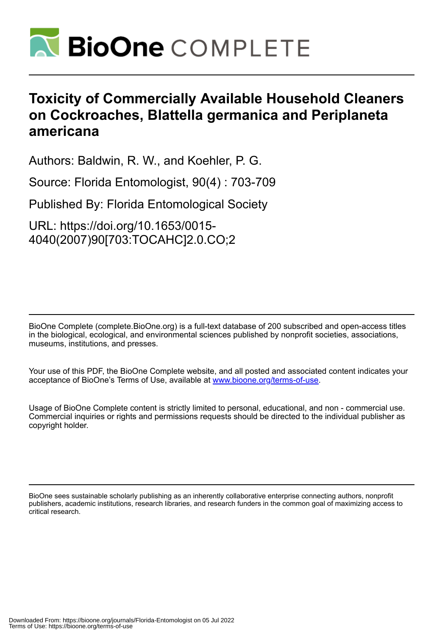

# **Toxicity of Commercially Available Household Cleaners on Cockroaches, Blattella germanica and Periplaneta americana**

Authors: Baldwin, R. W., and Koehler, P. G.

Source: Florida Entomologist, 90(4) : 703-709

Published By: Florida Entomological Society

URL: https://doi.org/10.1653/0015- 4040(2007)90[703:TOCAHC]2.0.CO;2

BioOne Complete (complete.BioOne.org) is a full-text database of 200 subscribed and open-access titles in the biological, ecological, and environmental sciences published by nonprofit societies, associations, museums, institutions, and presses.

Your use of this PDF, the BioOne Complete website, and all posted and associated content indicates your acceptance of BioOne's Terms of Use, available at www.bioone.org/terms-of-use.

Usage of BioOne Complete content is strictly limited to personal, educational, and non - commercial use. Commercial inquiries or rights and permissions requests should be directed to the individual publisher as copyright holder.

BioOne sees sustainable scholarly publishing as an inherently collaborative enterprise connecting authors, nonprofit publishers, academic institutions, research libraries, and research funders in the common goal of maximizing access to critical research.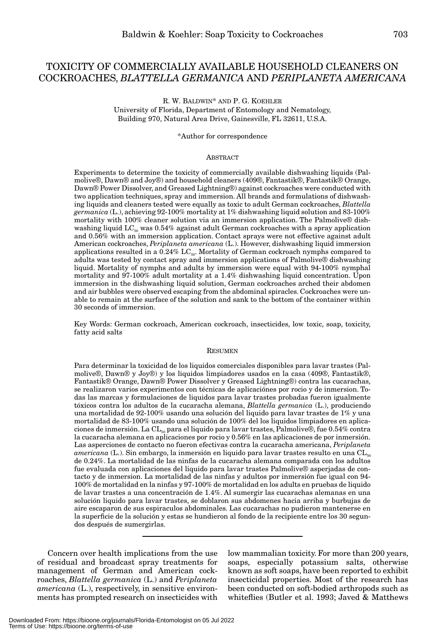# TOXICITY OF COMMERCIALLY AVAILABLE HOUSEHOLD CLEANERS ON COCKROACHES, *BLATTELLA GERMANICA* AND *PERIPLANETA AMERICANA*

R. W. BALDWIN\* AND P. G. KOEHLER University of Florida, Department of Entomology and Nematology, Building 970, Natural Area Drive, Gainesville, FL 32611, U.S.A.

\*Author for correspondence

#### **ABSTRACT**

Experiments to determine the toxicity of commercially available dishwashing liquids (Palmolive®, Dawn® and Joy®) and household cleaners (409®, Fantastik®, Fantastik® Orange, Dawn® Power Dissolver, and Greased Lightning®) against cockroaches were conducted with two application techniques, spray and immersion. All brands and formulations of dishwashing liquids and cleaners tested were equally as toxic to adult German cockroaches, *Blattella germanica* (L.), achieving 92-100% mortality at 1% dishwashing liquid solution and 83-100% mortality with 100% cleaner solution via an immersion application. The Palmolive® dishwashing liquid  $LC_{50}$  was 0.54% against adult German cockroaches with a spray application and 0.56% with an immersion application. Contact sprays were not effective against adult American cockroaches, *Periplaneta americana* (L.). However, dishwashing liquid immersion applications resulted in a 0.24% LC $_{50}$ . Mortality of German cockroach nymphs compared to adults was tested by contact spray and immersion applications of Palmolive® dishwashing liquid. Mortality of nymphs and adults by immersion were equal with 94-100% nymphal mortality and 97-100% adult mortality at a 1.4% dishwashing liquid concentration. Upon immersion in the dishwashing liquid solution, German cockroaches arched their abdomen and air bubbles were observed escaping from the abdominal spiracles. Cockroaches were unable to remain at the surface of the solution and sank to the bottom of the container within 30 seconds of immersion.

Key Words: German cockroach, American cockroach, insecticides, low toxic, soap, toxicity, fatty acid salts

#### RESUMEN

Para determinar la toxicidad de los liquidos comerciales disponibles para lavar trastes (Palmolive®, Dawn® y Joy®) y los liquidos limpiadores usados en la casa (409®, Fantastik®, Fantastik® Orange, Dawn® Power Dissolver y Greased Lightning®) contra las cucarachas, se realizaron varios experimentos con técnicas de aplicaciónes por rocio y de inmersion. Todas las marcas y formulaciones de liquidos para lavar trastes probadas fueron igualmente tóxicos contra los adultos de la cucaracha alemana, *Blattella germanica* (L.), produciendo una mortalidad de 92-100% usando una solución del liquido para lavar trastes de 1% y una mortalidad de 83-100% usando una solución de 100% del los liquidos limpiadores en aplicaciones de inmersión. La CL<sub>50</sub> para el liquido para lavar trastes, Palmolive®, fue  $0.54\%$  contra la cucaracha alemana en aplicaciones por rocio y 0.56% en las aplicaciones de por inmersión. Las asperciones de contacto no fueron efectivas contra la cucaracha americana, *Periplaneta*  $\alpha$ *americana* (L.). Sin embargo, la inmersión en liquido para lavar trastes resulto en una  $CL_{\text{so}}$ de 0.24%. La mortalidad de las ninfas de la cucaracha alemana comparada con los adultos fue evaluada con aplicaciones del liquido para lavar trastes Palmolive® asperjadas de contacto y de inmersion. La mortalidad de las ninfas y adultos por inmersión fue igual con 94- 100% de mortalidad en la ninfas y 97-100% de mortalidad en los adults en pruebas de liquido de lavar trastes a una concentración de 1.4%. Al sumergir las cucarachas alemanas en una solución liquido para lavar trastes, se doblaron sus abdomenes hacia arriba y burbujas de aire escaparon de sus espiraculos abdominales. Las cucarachas no pudieron mantenerse en la superficie de la solución y estas se hundieron al fondo de la recipiente entre los 30 segundos después de sumergirlas.

Concern over health implications from the use of residual and broadcast spray treatments for management of German and American cockroaches, *Blattella germanica* (L.) and *Periplaneta americana* (L.), respectively, in sensitive environments has prompted research on insecticides with low mammalian toxicity. For more than 200 years, soaps, especially potassium salts, otherwise known as soft soaps, have been reported to exhibit insecticidal properties. Most of the research has been conducted on soft-bodied arthropods such as whiteflies (Butler et al. 1993; Javed & Matthews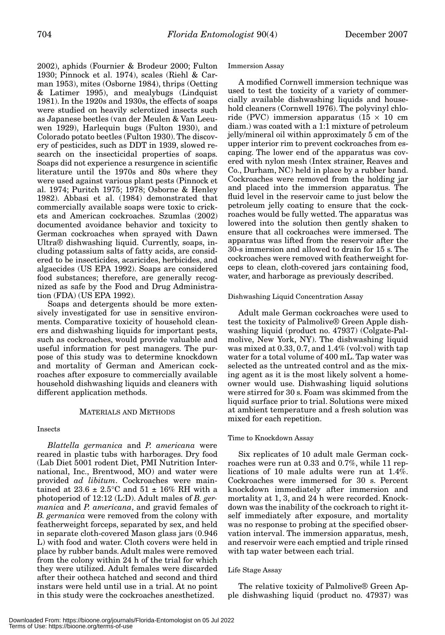2002), aphids (Fournier & Brodeur 2000; Fulton 1930; Pinnock et al. 1974), scales (Riehl & Carman 1953), mites (Osborne 1984), thrips (Oetting & Latimer 1995), and mealybugs (Lindquist 1981). In the 1920s and 1930s, the effects of soaps were studied on heavily sclerotized insects such as Japanese beetles (van der Meulen & Van Leeuwen 1929), Harlequin bugs (Fulton 1930), and Colorado potato beetles (Fulton 1930). The discovery of pesticides, such as DDT in 1939, slowed research on the insecticidal properties of soaps. Soaps did not experience a resurgence in scientific literature until the 1970s and 80s where they were used against various plant pests (Pinnock et al. 1974; Puritch 1975; 1978; Osborne & Henley 1982). Abbasi et al. (1984) demonstrated that commercially available soaps were toxic to crickets and American cockroaches. Szumlas (2002) documented avoidance behavior and toxicity to German cockroaches when sprayed with Dawn Ultra® dishwashing liquid. Currently, soaps, including potassium salts of fatty acids, are considered to be insecticides, acaricides, herbicides, and algaecides (US EPA 1992). Soaps are considered food substances; therefore, are generally recognized as safe by the Food and Drug Administration (FDA) (US EPA 1992).

Soaps and detergents should be more extensively investigated for use in sensitive environments. Comparative toxicity of household cleaners and dishwashing liquids for important pests, such as cockroaches, would provide valuable and useful information for pest managers. The purpose of this study was to determine knockdown and mortality of German and American cockroaches after exposure to commercially available household dishwashing liquids and cleaners with different application methods.

# MATERIALS AND METHODS

#### Insects

*Blattella germanica* and *P. americana* were reared in plastic tubs with harborages. Dry food (Lab Diet 5001 rodent Diet, PMI Nutrition International, Inc., Brentwood, MO) and water were provided *ad libitum*. Cockroaches were maintained at  $23.6 \pm 2.5^{\circ}$ C and  $51 \pm 16\%$  RH with a photoperiod of 12:12 (L:D). Adult males of *B. germanica* and *P. americana*, and gravid females of *B. germanica* were removed from the colony with featherweight forceps, separated by sex, and held in separate cloth-covered Mason glass jars (0.946 L) with food and water. Cloth covers were held in place by rubber bands. Adult males were removed from the colony within 24 h of the trial for which they were utilized. Adult females were discarded after their ootheca hatched and second and third instars were held until use in a trial. At no point in this study were the cockroaches anesthetized.

#### Immersion Assay

A modified Cornwell immersion technique was used to test the toxicity of a variety of commercially available dishwashing liquids and household cleaners (Cornwell 1976). The polyvinyl chloride (PVC) immersion apparatus ( $15 \times 10$  cm diam.) was coated with a 1:1 mixture of petroleum jelly/mineral oil within approximately 5 cm of the upper interior rim to prevent cockroaches from escaping. The lower end of the apparatus was covered with nylon mesh (Intex strainer, Reaves and Co., Durham, NC) held in place by a rubber band. Cockroaches were removed from the holding jar and placed into the immersion apparatus. The fluid level in the reservoir came to just below the petroleum jelly coating to ensure that the cockroaches would be fully wetted. The apparatus was lowered into the solution then gently shaken to ensure that all cockroaches were immersed. The apparatus was lifted from the reservoir after the 30-s immersion and allowed to drain for 15 s. The cockroaches were removed with featherweight forceps to clean, cloth-covered jars containing food, water, and harborage as previously described.

#### Dishwashing Liquid Concentration Assay

Adult male German cockroaches were used to test the toxicity of Palmolive® Green Apple dishwashing liquid (product no. 47937) (Colgate-Palmolive, New York, NY). The dishwashing liquid was mixed at 0.33, 0.7, and 1.4% (vol:vol) with tap water for a total volume of 400 mL. Tap water was selected as the untreated control and as the mixing agent as it is the most likely solvent a homeowner would use. Dishwashing liquid solutions were stirred for 30 s. Foam was skimmed from the liquid surface prior to trial. Solutions were mixed at ambient temperature and a fresh solution was mixed for each repetition.

### Time to Knockdown Assay

Six replicates of 10 adult male German cockroaches were run at 0.33 and 0.7%, while 11 replications of 10 male adults were run at 1.4%. Cockroaches were immersed for 30 s. Percent knockdown immediately after immersion and mortality at 1, 3, and 24 h were recorded. Knockdown was the inability of the cockroach to right itself immediately after exposure, and mortality was no response to probing at the specified observation interval. The immersion apparatus, mesh, and reservoir were each emptied and triple rinsed with tap water between each trial.

#### Life Stage Assay

The relative toxicity of Palmolive® Green Apple dishwashing liquid (product no. 47937) was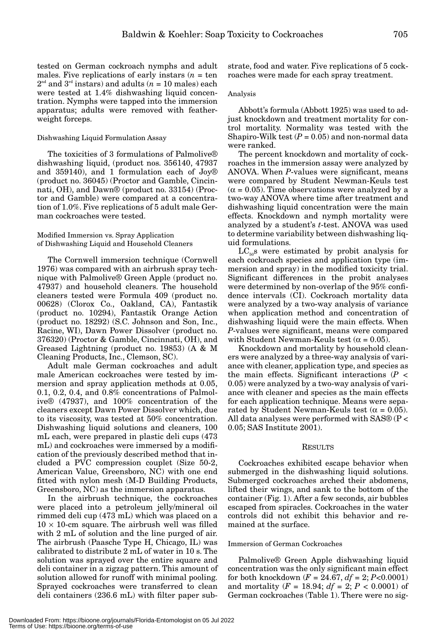tested on German cockroach nymphs and adult males. Five replications of early instars  $(n = \text{ten})$  $2<sup>nd</sup>$  and  $3<sup>rd</sup>$  instars) and adults ( $n = 10$  males) each were tested at 1.4% dishwashing liquid concentration. Nymphs were tapped into the immersion apparatus; adults were removed with featherweight forceps.

#### Dishwashing Liquid Formulation Assay

The toxicities of 3 formulations of Palmolive® dishwashing liquid, (product nos. 356140, 47937 and 359140), and 1 formulation each of Joy® (product no. 36045) (Proctor and Gamble, Cincinnati, OH), and Dawn® (product no. 33154) (Proctor and Gamble) were compared at a concentration of 1.0%. Five replications of 5 adult male German cockroaches were tested.

# Modified Immersion vs. Spray Application of Dishwashing Liquid and Household Cleaners

The Cornwell immersion technique (Cornwell 1976) was compared with an airbrush spray technique with Palmolive® Green Apple (product no. 47937) and household cleaners. The household cleaners tested were Formula 409 (product no. 00628) (Clorox Co., Oakland, CA), Fantastik (product no. 10294), Fantastik Orange Action (product no. 18292) (S.C. Johnson and Son, Inc., Racine, WI), Dawn Power Dissolver (product no. 376320) (Proctor & Gamble, Cincinnati, OH), and Greased Lightning (product no. 19853) (A & M Cleaning Products, Inc., Clemson, SC).

Adult male German cockroaches and adult male American cockroaches were tested by immersion and spray application methods at 0.05, 0.1, 0.2, 0.4, and 0.8% concentrations of Palmolive® (47937), and 100% concentration of the cleaners except Dawn Power Dissolver which, due to its viscosity, was tested at 50% concentration. Dishwashing liquid solutions and cleaners, 100 mL each, were prepared in plastic deli cups (473 mL) and cockroaches were immersed by a modification of the previously described method that included a PVC compression couplet (Size 50-2, American Value, Greensboro, NC) with one end fitted with nylon mesh (M-D Building Products, Greensboro, NC) as the immersion apparatus.

In the airbrush technique, the cockroaches were placed into a petroleum jelly/mineral oil rimmed deli cup (473 mL) which was placed on a  $10 \times 10$ -cm square. The airbrush well was filled with 2 mL of solution and the line purged of air. The airbrush (Paasche Type H, Chicago, IL) was calibrated to distribute 2 mL of water in 10 s. The solution was sprayed over the entire square and deli container in a zigzag pattern. This amount of solution allowed for runoff with minimal pooling. Sprayed cockroaches were transferred to clean deli containers (236.6 mL) with filter paper sub-

strate, food and water. Five replications of 5 cockroaches were made for each spray treatment.

# Analysis

Abbott's formula (Abbott 1925) was used to adjust knockdown and treatment mortality for control mortality. Normality was tested with the Shapiro-Wilk test  $(P = 0.05)$  and non-normal data were ranked.

The percent knockdown and mortality of cockroaches in the immersion assay were analyzed by ANOVA. When *P*-values were significant, means were compared by Student Newman-Keuls test  $(\alpha = 0.05)$ . Time observations were analyzed by a two-way ANOVA where time after treatment and dishwashing liquid concentration were the main effects. Knockdown and nymph mortality were analyzed by a student's *t*-test. ANOVA was used to determine variability between dishwashing liquid formulations.

 $LC<sub>50</sub>$ s were estimated by probit analysis for each cockroach species and application type (immersion and spray) in the modified toxicity trial. Significant differences in the probit analyses were determined by non-overlap of the 95% confidence intervals (CI). Cockroach mortality data were analyzed by a two-way analysis of variance when application method and concentration of dishwashing liquid were the main effects. When *P*-values were significant, means were compared with Student Newman-Keuls test  $(\alpha = 0.05)$ .

Knockdown and mortality by household cleaners were analyzed by a three-way analysis of variance with cleaner, application type, and species as the main effects. Significant interactions  $(P \leq$ 0.05) were analyzed by a two-way analysis of variance with cleaner and species as the main effects for each application technique. Means were separated by Student Newman-Keuls test ( $\alpha = 0.05$ ). All data analyses were performed with SAS® (P < 0.05; SAS Institute 2001).

#### RESULTS

Cockroaches exhibited escape behavior when submerged in the dishwashing liquid solutions. Submerged cockroaches arched their abdomens, lifted their wings, and sank to the bottom of the container (Fig. 1). After a few seconds, air bubbles escaped from spiracles. Cockroaches in the water controls did not exhibit this behavior and remained at the surface.

#### Immersion of German Cockroaches

Palmolive® Green Apple dishwashing liquid concentration was the only significant main effect for both knockdown  $(F = 24.67, df = 2; P < 0.0001)$ and mortality ( $F = 18.94$ ;  $df = 2$ ;  $P < 0.0001$ ) of German cockroaches (Table 1). There were no sig-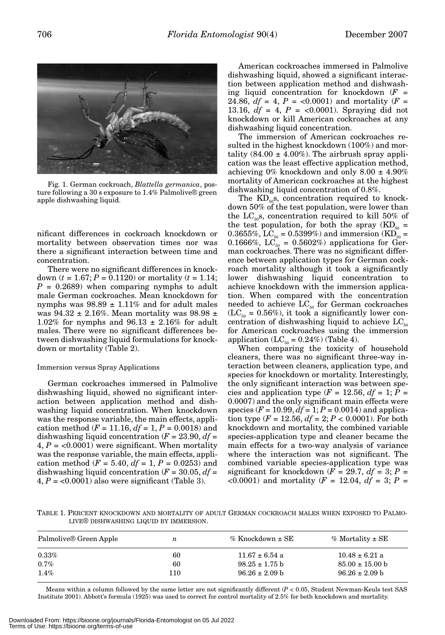

Fig. 1. German cockroach, *Blattella germanica*, posture following a 30 s exposure to 1.4% Palmolive® green apple dishwashing liquid.

nificant differences in cockroach knockdown or mortality between observation times nor was there a significant interaction between time and concentration.

There were no significant differences in knockdown  $(t = 1.67; P = 0.1120)$  or mortality  $(t = 1.14;$ *P* = 0.2689) when comparing nymphs to adult male German cockroaches. Mean knockdown for nymphs was  $98.89 \pm 1.11\%$  and for adult males was 94.32  $\pm$  2.16%. Mean mortality was 98.98  $\pm$ 1.02% for nymphs and  $96.13 \pm 2.16\%$  for adult males. There were no significant differences between dishwashing liquid formulations for knockdown or mortality (Table 2).

#### Immersion versus Spray Applications

German cockroaches immersed in Palmolive dishwashing liquid, showed no significant interaction between application method and dishwashing liquid concentration. When knockdown was the response variable, the main effects, application method ( $F = 11.16$ ,  $df = 1$ ,  $P = 0.0018$ ) and dishwashing liquid concentration  $(F = 23.90, df =$  $4, P = \langle 0.0001 \rangle$  were significant. When mortality was the response variable, the main effects, application method ( $F = 5.40$ ,  $df = 1$ ,  $P = 0.0253$ ) and dishwashing liquid concentration  $(F = 30.05, df =$  $4, P = <0.0001$ ) also were significant (Table 3).

American cockroaches immersed in Palmolive dishwashing liquid, showed a significant interaction between application method and dishwashing liquid concentration for knockdown  $(F =$ 24.86,  $df = 4$ ,  $P = \langle 0.0001 \rangle$  and mortality ( $F =$ 13.16,  $df = 4$ ,  $P = <0.0001$ ). Spraying did not knockdown or kill American cockroaches at any dishwashing liquid concentration.

The immersion of American cockroaches resulted in the highest knockdown (100%) and mortality  $(84.00 \pm 4.00\%)$ . The airbrush spray application was the least effective application method, achieving  $0\%$  knockdown and only  $8.00 \pm 4.90\%$ mortality of American cockroaches at the highest dishwashing liquid concentration of 0.8%.

The  $KD_{50}$ s, concentration required to knockdown 50% of the test population, were lower than the  $LC_{50}$ s, concentration required to kill 50% of the test population, for both the spray  $(KD_{50} =$ 0.3655%, LC<sub>50</sub> = 0.5399%) and immersion (KD<sub>50</sub> = 0.1666%, LC<sub>50</sub> = 0.5602%) applications for German cockroaches. There was no significant difference between application types for German cockroach mortality although it took a significantly lower dishwashing liquid concentration to achieve knockdown with the immersion application. When compared with the concentration needed to achieve  $LC_{50}$  for German cockroaches  $(LC_{50} = 0.56\%)$ , it took a significantly lower concentration of dishwashing liquid to achieve  $LC_{50}$ for American cockroaches using the immersion application  $(LC_{50} = 0.24\%)$  (Table 4).

When comparing the toxicity of household cleaners, there was no significant three-way interaction between cleaners, application type, and species for knockdown or mortality. Interestingly, the only significant interaction was between species and application type  $(F = 12.56, df = 1; P =$ 0.0007) and the only significant main effects were species  $(F = 10.99, df = 1; P = 0.0014)$  and application type  $(F = 12.56, df = 2; P < 0.0001)$ . For both knockdown and mortality, the combined variable species-application type and cleaner became the main effects for a two-way analysis of variance where the interaction was not significant. The combined variable species-application type was significant for knockdown ( $F = 29.7$ ,  $df = 3$ ;  $P =$  $(0.0001)$  and mortality ( $F = 12.04$ ,  $df = 3$ ;  $P = 12.04$ 

TABLE 1. PERCENT KNOCKDOWN AND MORTALITY OF ADULT GERMAN COCKROACH MALES WHEN EXPOSED TO PALMO-LIVE® DISHWASHING LIQUID BY IMMERSION.

| Palmolive® Green Apple | $\boldsymbol{n}$ | $\%$ Knockdown $\pm$ SE | % Mortality $\pm$ SE        |
|------------------------|------------------|-------------------------|-----------------------------|
| $0.33\%$               | 60               | $11.67 \pm 6.54$ a      | $10.48 \pm 6.21$ a          |
| $0.7\%$                | 60               | $98.25 \pm 1.75$ b      | $85.00 \pm 15.00 \text{ b}$ |
| $1.4\%$                | 110              | $96.26 \pm 2.09$ b      | $96.26 \pm 2.09$ b          |

Means within a column followed by the same letter are not significantly different (*P* < 0.05, Student Newman-Keuls test SAS Institute 2001). Abbott's formula (1925) was used to correct for control mortality of 2.5% for both knockdown and mortality.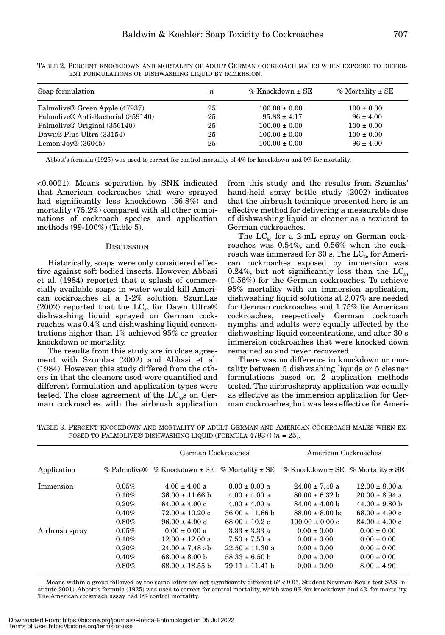| Soap formulation                   | n  | $\%$ Knockdown $\pm$ SE | % Mortality $\pm$ SE |
|------------------------------------|----|-------------------------|----------------------|
| Palmolive® Green Apple (47937)     | 25 | $100.00 \pm 0.00$       | $100 \pm 0.00$       |
| Palmolive® Anti-Bacterial (359140) | 25 | $95.83 \pm 4.17$        | $96 \pm 4.00$        |
| Palmolive® Original (356140)       | 25 | $100.00 \pm 0.00$       | $100 \pm 0.00$       |
| Dawn® Plus Ultra (33154)           | 25 | $100.00 \pm 0.00$       | $100 \pm 0.00$       |
| Lemon Joy $\mathcal{D}(36045)$     | 25 | $100.00 \pm 0.00$       | $.96 \pm 4.00$       |

TABLE 2. PERCENT KNOCKDOWN AND MORTALITY OF ADULT GERMAN COCKROACH MALES WHEN EXPOSED TO DIFFER-ENT FORMULATIONS OF DISHWASHING LIQUID BY IMMERSION.

Abbott's formula (1925) was used to correct for control mortality of 4% for knockdown and 0% for mortality.

*<*0.0001). Means separation by SNK indicated that American cockroaches that were sprayed had significantly less knockdown (56.8%) and mortality (75.2%) compared with all other combinations of cockroach species and application methods (99-100%) (Table 5).

#### **DISCUSSION**

Historically, soaps were only considered effective against soft bodied insects. However, Abbasi et al. (1984) reported that a splash of commercially available soaps in water would kill American cockroaches at a 1-2% solution. SzumLas (2002) reported that the  $LC_{50}$  for Dawn Ultra® dishwashing liquid sprayed on German cockroaches was 0.4% and dishwashing liquid concentrations higher than 1% achieved 95% or greater knockdown or mortality.

The results from this study are in close agreement with Szumlas (2002) and Abbasi et al. (1984). However, this study differed from the others in that the cleaners used were quantified and different formulation and application types were tested. The close agreement of the  $LC_{50}$ s on German cockroaches with the airbrush application from this study and the results from Szumlas' hand-held spray bottle study (2002) indicates that the airbrush technique presented here is an effective method for delivering a measurable dose of dishwashing liquid or cleaner as a toxicant to German cockroaches.

The  $LC_{50}$  for a 2-mL spray on German cockroaches was 0.54%, and 0.56% when the cockroach was immersed for 30 s. The  $LC_{50}$  for American cockroaches exposed by immersion was 0.24%, but not significantly less than the  $LC_{50}$ (0.56%) for the German cockroaches. To achieve 95% mortality with an immersion application, dishwashing liquid solutions at 2.07% are needed for German cockroaches and 1.75% for American cockroaches, respectively. German cockroach nymphs and adults were equally affected by the dishwashing liquid concentrations, and after 30 s immersion cockroaches that were knocked down remained so and never recovered.

There was no difference in knockdown or mortality between 5 dishwashing liquids or 5 cleaner formulations based on 2 application methods tested. The airbrushspray application was equally as effective as the immersion application for German cockroaches, but was less effective for Ameri-

TABLE 3. PERCENT KNOCKDOWN AND MORTALITY OF ADULT GERMAN AND AMERICAN COCKROACH MALES WHEN EX-POSED TO PALMOLIVE® DISHWASHING LIQUID (FORMULA 47937) (*n* = 25).

|                |          | German Cockroaches                                     |                     | American Cockroaches                      |                    |  |
|----------------|----------|--------------------------------------------------------|---------------------|-------------------------------------------|--------------------|--|
| Application    |          | % Palmolive® % Knockdown $\pm$ SE % Mortality $\pm$ SE |                     | % Knockdown $\pm$ SE % Mortality $\pm$ SE |                    |  |
| Immersion      | 0.05%    | $4.00 \pm 4.00$ a                                      | $0.00 \pm 0.00 a$   | $24.00 \pm 7.48$ a                        | $12.00 \pm 8.00$ a |  |
|                | 0.10%    | $36.00 \pm 11.66$ b                                    | $4.00 \pm 4.00$ a   | $80.00 \pm 6.32$ b                        | $20.00 \pm 8.94$ a |  |
|                | 0.20%    | $64.00 \pm 4.00 \text{ c}$                             | $4.00 \pm 4.00$ a   | $84.00 \pm 4.00$ b                        | $44.00 \pm 9.80$ b |  |
|                | 0.40%    | $72.00 \pm 10.20$ c                                    | $36.00 \pm 11.66$ b | $88.00 \pm 8.00$ bc                       | $68.00 \pm 4.90$ c |  |
|                | 0.80%    | $96.00 \pm 4.00$ d                                     | $68.00 \pm 10.2$ c  | $100.00 \pm 0.00 \text{ c}$               | $84.00 \pm 4.00$ c |  |
| Airbrush spray | 0.05%    | $0.00 \pm 0.00 a$                                      | $3.33 \pm 3.33$ a   | $0.00 \pm 0.00$                           | $0.00 \pm 0.00$    |  |
|                | 0.10%    | $12.00 \pm 12.00$ a                                    | $7.50 \pm 7.50$ a   | $0.00 \pm 0.00$                           | $0.00 \pm 0.00$    |  |
|                | 0.20%    | $24.00 \pm 7.48$ ab                                    | $22.50 \pm 11.30$ a | $0.00 \pm 0.00$                           | $0.00 \pm 0.00$    |  |
|                | 0.40%    | $68.00 \pm 8.00$ b                                     | $58.33 \pm 6.50$ b  | $0.00 \pm 0.00$                           | $0.00 \pm 0.00$    |  |
|                | $0.80\%$ | $68.00 \pm 18.55$ b                                    | $79.11 \pm 11.41$ b | $0.00 \pm 0.00$                           | $8.00 \pm 4.90$    |  |

Means within a group followed by the same letter are not significantly different (*P* < 0.05, Student Newman-Keuls test SAS Institute 2001). Abbott's formula (1925) was used to correct for control mortality, which was 0% for knockdown and 4% for mortality. The American cockroach assay had 0% control mortality.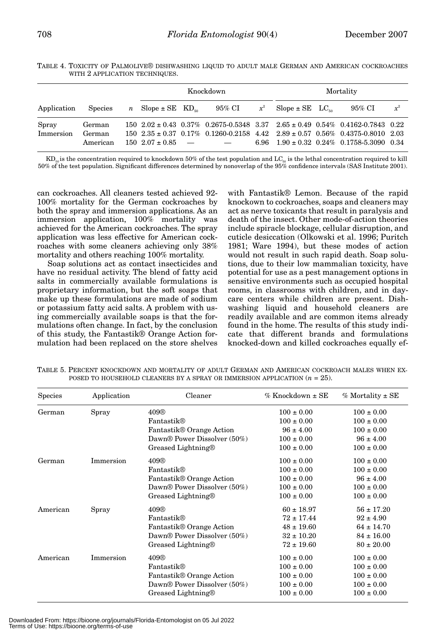|                    |                              | Knockdown                                |  |        |       | Mortality                       |                                                                                                                                                                                                                                                  |       |
|--------------------|------------------------------|------------------------------------------|--|--------|-------|---------------------------------|--------------------------------------------------------------------------------------------------------------------------------------------------------------------------------------------------------------------------------------------------|-------|
| Application        | <b>Species</b>               | <i>n</i> Slope $\pm$ SE KD <sub>s0</sub> |  | 95% CI | $x^2$ | $Slope \pm SE$ LC <sub>so</sub> | 95% CI                                                                                                                                                                                                                                           | $x^2$ |
| Spray<br>Immersion | German<br>German<br>American | $150\ 2.07 \pm 0.85$ -                   |  |        |       |                                 | $150\ 2.02 \pm 0.43\ 0.37\%$ 0.2675-0.5348 3.37 2.65 $\pm$ 0.49 0.54% 0.4162-0.7843 0.22<br>$150\ 2.35 \pm 0.37\ 0.17\% \ 0.1260 - 0.2158\ 4.42\ 2.89 \pm 0.57\ 0.56\% \ 0.4375 - 0.8010\ 2.03$<br>6.96 $1.90 \pm 0.32$ 0.24% 0.1758-5.3090 0.34 |       |

TABLE 4. TOXICITY OF PALMOLIVE® DISHWASHING LIQUID TO ADULT MALE GERMAN AND AMERICAN COCKROACHES WITH 2 APPLICATION TECHNIQUES.

 $KD_{50}$  is the concentration required to knockdown 50% of the test population and  $LC_{50}$  is the lethal concentration required to kill 50% of the test population. Significant differences determined by nonoverlap of the 95% confidence intervals (SAS Institute 2001).

can cockroaches. All cleaners tested achieved 92- 100% mortality for the German cockroaches by both the spray and immersion applications. As an immersion application, 100% mortality was achieved for the American cockroaches. The spray application was less effective for American cockroaches with some cleaners achieving only 38% mortality and others reaching 100% mortality.

Soap solutions act as contact insecticides and have no residual activity. The blend of fatty acid salts in commercially available formulations is proprietary information, but the soft soaps that make up these formulations are made of sodium or potassium fatty acid salts. A problem with using commercially available soaps is that the formulations often change. In fact, by the conclusion of this study, the Fantastik® Orange Action formulation had been replaced on the store shelves

with Fantastik® Lemon. Because of the rapid knockown to cockroaches, soaps and cleaners may act as nerve toxicants that result in paralysis and death of the insect. Other mode-of-action theories include spiracle blockage, cellular disruption, and cuticle desiccation (Olkowski et al. 1996; Puritch 1981; Ware 1994), but these modes of action would not result in such rapid death. Soap solutions, due to their low mammalian toxicity, have potential for use as a pest management options in sensitive environments such as occupied hospital rooms, in classrooms with children, and in daycare centers while children are present. Dishwashing liquid and household cleaners are readily available and are common items already found in the home. The results of this study indicate that different brands and formulations knocked-down and killed cockroaches equally ef-

|  | TABLE 5. PERCENT KNOCKDOWN AND MORTALITY OF ADULT GERMAN AND AMERICAN COCKROACH MALES WHEN EX- |  |  |  |  |  |
|--|------------------------------------------------------------------------------------------------|--|--|--|--|--|
|  | POSED TO HOUSEHOLD CLEANERS BY A SPRAY OR IMMERSION APPLICATION $(n = 25)$ .                   |  |  |  |  |  |

| <b>Species</b> | Application | Cleaner                              | $%$ Knockdown $\pm$ SE | $%$ Mortality $\pm$ SE |
|----------------|-------------|--------------------------------------|------------------------|------------------------|
| German         | Spray       | 409®                                 | $100 \pm 0.00$         | $100 \pm 0.00$         |
|                |             | Fantastik®                           | $100 \pm 0.00$         | $100 \pm 0.00$         |
|                |             | Fantastik® Orange Action             | $96 \pm 4.00$          | $100 \pm 0.00$         |
|                |             | Dawn® Power Dissolver (50%)          | $100 \pm 0.00$         | $96 \pm 4.00$          |
|                |             | Greased Lightning®                   | $100 \pm 0.00$         | $100 \pm 0.00$         |
| German         | Immersion   | 409®                                 | $100 \pm 0.00$         | $100 \pm 0.00$         |
|                |             | Fantastik®                           | $100 \pm 0.00$         | $100 \pm 0.00$         |
|                |             | Fantastik® Orange Action             | $100 \pm 0.00$         | $96 \pm 4.00$          |
|                |             | Dawn® Power Dissolver (50%)          | $100 \pm 0.00$         | $100 \pm 0.00$         |
|                |             | Greased Lightning®                   | $100 \pm 0.00$         | $100 \pm 0.00$         |
| American       | Spray       | 409®                                 | $60 \pm 18.97$         | $56 \pm 17.20$         |
|                |             | Fantastik®                           | $72 \pm 17.44$         | $92 \pm 4.90$          |
|                |             | Fantastik® Orange Action             | $48 \pm 19.60$         | $64 \pm 14.70$         |
|                |             | Dawn® Power Dissolver (50%)          | $32 \pm 10.20$         | $84 \pm 16.00$         |
|                |             | Greased Lightning®                   | $72 \pm 19.60$         | $80 \pm 20.00$         |
| American       | Immersion   | 409®                                 | $100 \pm 0.00$         | $100 \pm 0.00$         |
|                |             | Fantastik®                           | $100 \pm 0.00$         | $100 \pm 0.00$         |
|                |             | Fantastik <sup>®</sup> Orange Action | $100 \pm 0.00$         | $100 \pm 0.00$         |
|                |             | Dawn® Power Dissolver (50%)          | $100 \pm 0.00$         | $100 \pm 0.00$         |
|                |             | Greased Lightning®                   | $100 \pm 0.00$         | $100 \pm 0.00$         |

Downloaded From: https://bioone.org/journals/Florida-Entomologist on 05 Jul 2022 Terms of Use: https://bioone.org/terms-of-use